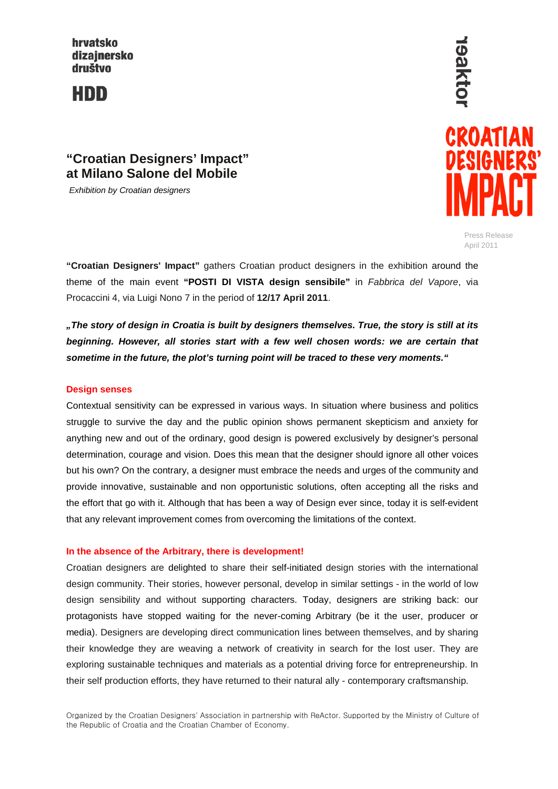hrvatsko dizajnersko društvo

HDD

# **19aktol** CROATIAN DESIGNERS

Press Release April 2011

# **"Croatian Designers' Impact" at Milano Salone del Mobile**

*Exhibition by Croatian designers*

**"Croatian Designers' Impact"** gathers Croatian product designers in the exhibition around the theme of the main event **"POSTI DI VISTA design sensibile"** in *Fabbrica del Vapore*, via Procaccini 4, via Luigi Nono 7 in the period of **12/17 April 2011**.

*"The story of design in Croatia is built by designers themselves. True, the story is still at its beginning. However, all stories start with a few well chosen words: we are certain that sometime in the future, the plot's turning point will be traced to these very moments."*

### **Design senses**

Contextual sensitivity can be expressed in various ways. In situation where business and politics struggle to survive the day and the public opinion shows permanent skepticism and anxiety for anything new and out of the ordinary, good design is powered exclusively by designer's personal determination, courage and vision. Does this mean that the designer should ignore all other voices but his own? On the contrary, a designer must embrace the needs and urges of the community and provide innovative, sustainable and non opportunistic solutions, often accepting all the risks and the effort that go with it. Although that has been a way of Design ever since, today it is self-evident that any relevant improvement comes from overcoming the limitations of the context.

#### **In the absence of the Arbitrary, there is development!**

Croatian designers are delighted to share their self-initiated design stories with the international design community. Their stories, however personal, develop in similar settings - in the world of low design sensibility and without supporting characters. Today, designers are striking back: our protagonists have stopped waiting for the never-coming Arbitrary (be it the user, producer or media). Designers are developing direct communication lines between themselves, and by sharing their knowledge they are weaving a network of creativity in search for the lost user. They are exploring sustainable techniques and materials as a potential driving force for entrepreneurship. In their self production efforts, they have returned to their natural ally - contemporary craftsmanship.

Organized by the Croatian Designers' Association in partnership with ReActor. Supported by the Ministry of Culture of the Republic of Croatia and the Croatian Chamber of Economy.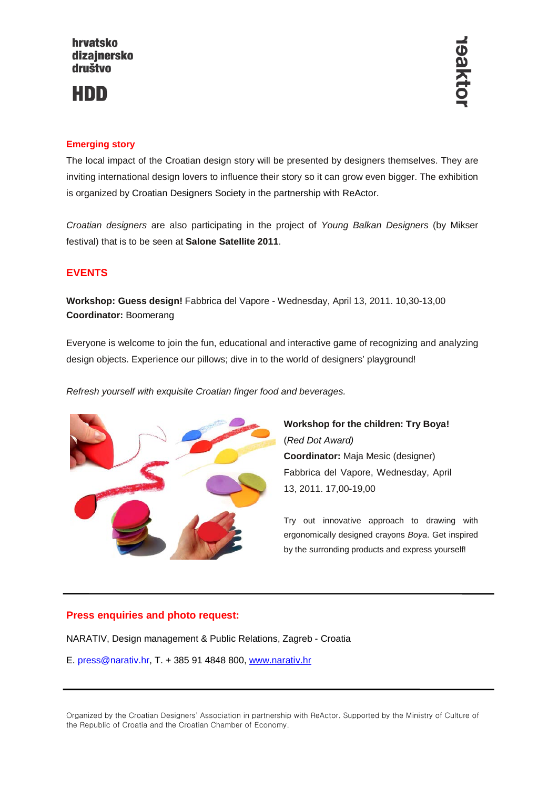# HDD

# **Emerging story**

The local impact of the Croatian design story will be presented by designers themselves. They are inviting international design lovers to influence their story so it can grow even bigger. The exhibition is organized by Croatian Designers Society in the partnership with ReActor.

*Croatian designers* are also participating in the project of *Young Balkan Designers* (by Mikser festival) that is to be seen at **Salone Satellite 2011**.

# **EVENTS**

**Workshop: Guess design!** Fabbrica del Vapore - Wednesday, April 13, 2011. 10,30-13,00 **Coordinator:** Boomerang

Everyone is welcome to join the fun, educational and interactive game of recognizing and analyzing design objects. Experience our pillows; dive in to the world of designers' playground!

*Refresh yourself with exquisite Croatian finger food and beverages.* 



**Workshop for the children: Try Boya!** (*Red Dot Award)* **Coordinator:** Maja Mesic (designer) Fabbrica del Vapore, Wednesday, April 13, 2011. 17,00-19,00

Try out innovative approach to drawing with ergonomically designed crayons *Boya*. Get inspired by the surronding products and express yourself!

## **Press enquiries and photo request:**

NARATIV, Design management & Public Relations, Zagreb - Croatia

E. press@narativ.hr, T. + 385 91 4848 800, [www.narativ.hr](http://www.narativ.hr/)

Organized by the Croatian Designers' Association in partnership with ReActor. Supported by the Ministry of Culture of the Republic of Croatia and the Croatian Chamber of Economy.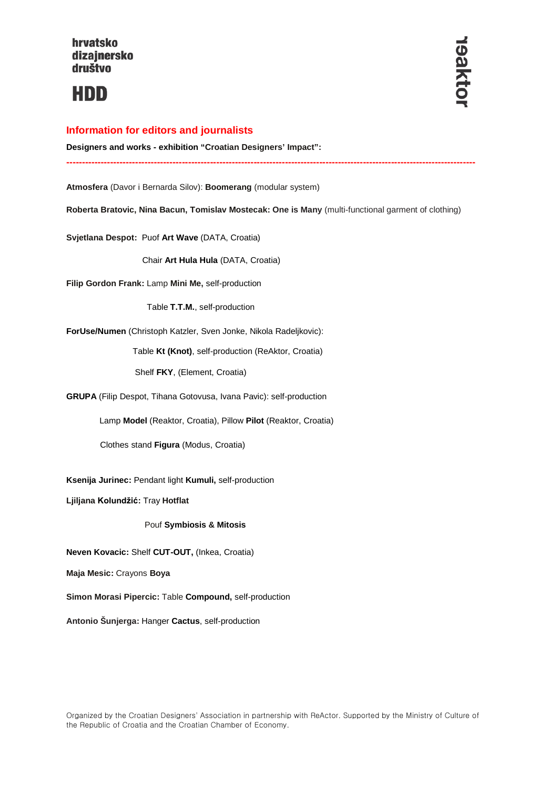

#### **Information for editors and journalists**

**Designers and works - exhibition "Croatian Designers' Impact":** 

**Atmosfera** (Davor i Bernarda Silov): **Boomerang** (modular system)

**Roberta Bratovic, Nina Bacun, Tomislav Mostecak: One is Many** (multi-functional garment of clothing)

**-----------------------------------------------------------------------------------------------------------------------------------**

**Svjetlana Despot:** Puof **Art Wave** (DATA, Croatia)

Chair **Art Hula Hula** (DATA, Croatia)

**Filip Gordon Frank:** Lamp **Mini Me,** self-production

Table **T.T.M.**, self-production

**ForUse/Numen** (Christoph Katzler, Sven Jonke, Nikola Radeljkovic):

Table **Kt (Knot)**, self-production (ReAktor, Croatia)

Shelf **FKY**, (Element, Croatia)

**GRUPA** (Filip Despot, Tihana Gotovusa, Ivana Pavic): self-production

Lamp **Model** (Reaktor, Croatia), Pillow **Pilot** (Reaktor, Croatia)

Clothes stand **Figura** (Modus, Croatia)

**Ksenija Jurinec:** Pendant light **Kumuli,** self-production

**Ljiljana Kolundžić:** Tray **Hotflat** 

Pouf **Symbiosis & Mitosis**

**Neven Kovacic:** Shelf **CUT-OUT,** (Inkea, Croatia)

**Maja Mesic:** Crayons **Boya**

**Simon Morasi Pipercic:** Table **Compound,** self-production

**Antonio Šunjerga:** Hanger **Cactus**, self-production